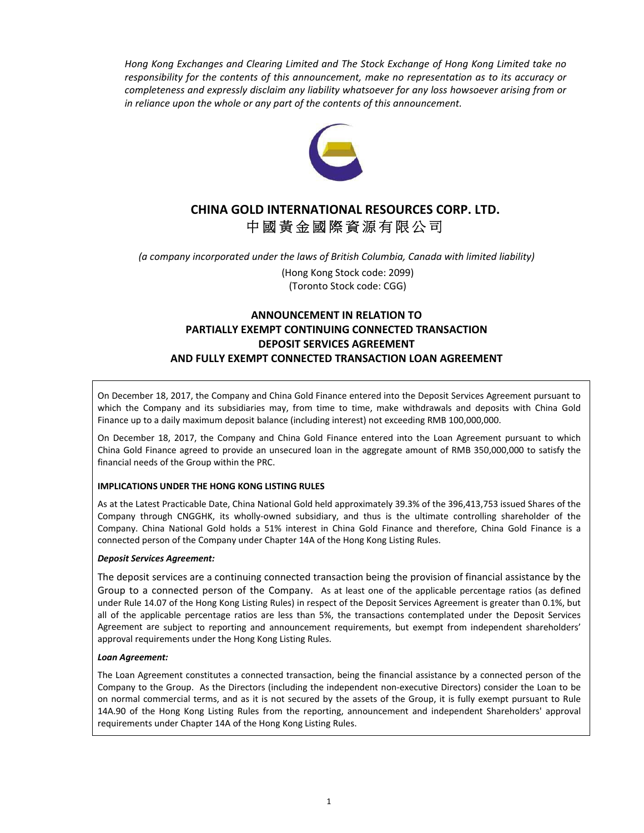*Hong Kong Exchanges and Clearing Limited and The Stock Exchange of Hong Kong Limited take no responsibility for the contents of this announcement, make no representation as to its accuracy or completeness and expressly disclaim any liability whatsoever for any loss howsoever arising from or in reliance upon the whole or any part of the contents of this announcement.*



# **CHINA GOLD INTERNATIONAL RESOURCES CORP. LTD.** 中國黃金國際資源有限公司

*(a company incorporated under the laws of British Columbia, Canada with limited liability)*

(Hong Kong Stock code: 2099) (Toronto Stock code: CGG)

# **ANNOUNCEMENT IN RELATION TO PARTIALLY EXEMPT CONTINUING CONNECTED TRANSACTION DEPOSIT SERVICES AGREEMENT AND FULLY EXEMPT CONNECTED TRANSACTION LOAN AGREEMENT**

On December 18, 2017, the Company and China Gold Finance entered into the Deposit Services Agreement pursuant to which the Company and its subsidiaries may, from time to time, make withdrawals and deposits with China Gold Finance up to a daily maximum deposit balance (including interest) not exceeding RMB 100,000,000.

On December 18, 2017, the Company and China Gold Finance entered into the Loan Agreement pursuant to which China Gold Finance agreed to provide an unsecured loan in the aggregate amount of RMB 350,000,000 to satisfy the financial needs of the Group within the PRC.

## **IMPLICATIONS UNDER THE HONG KONG LISTING RULES**

As at the Latest Practicable Date, China National Gold held approximately 39.3% of the 396,413,753 issued Shares of the Company through CNGGHK, its wholly‐owned subsidiary, and thus is the ultimate controlling shareholder of the Company. China National Gold holds a 51% interest in China Gold Finance and therefore, China Gold Finance is a connected person of the Company under Chapter 14A of the Hong Kong Listing Rules.

## *Deposit Services Agreement:*

The deposit services are a continuing connected transaction being the provision of financial assistance by the Group to a connected person of the Company. As at least one of the applicable percentage ratios (as defined under Rule 14.07 of the Hong Kong Listing Rules) in respect of the Deposit Services Agreement is greater than 0.1%, but all of the applicable percentage ratios are less than 5%, the transactions contemplated under the Deposit Services Agreement are subject to reporting and announcement requirements, but exempt from independent shareholders' approval requirements under the Hong Kong Listing Rules.

#### *Loan Agreement:*

The Loan Agreement constitutes a connected transaction, being the financial assistance by a connected person of the Company to the Group. As the Directors (including the independent non‐executive Directors) consider the Loan to be on normal commercial terms, and as it is not secured by the assets of the Group, it is fully exempt pursuant to Rule 14A.90 of the Hong Kong Listing Rules from the reporting, announcement and independent Shareholders' approval requirements under Chapter 14A of the Hong Kong Listing Rules.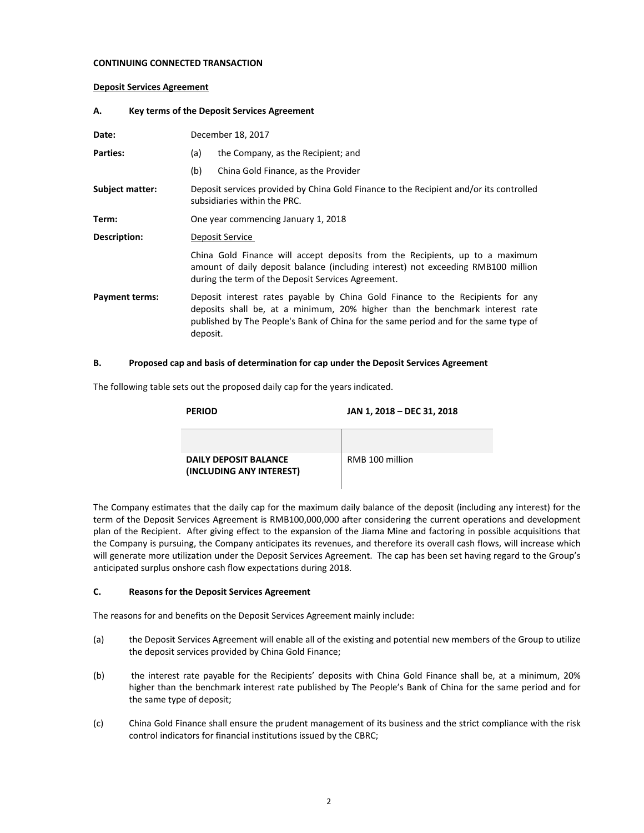#### **CONTINUING CONNECTED TRANSACTION**

#### **Deposit Services Agreement**

#### **A. Key terms of the Deposit Services Agreement**

| Date:                 | December 18, 2017                                                                                                                                                                                                                                                  |  |
|-----------------------|--------------------------------------------------------------------------------------------------------------------------------------------------------------------------------------------------------------------------------------------------------------------|--|
| <b>Parties:</b>       | the Company, as the Recipient; and<br>(a)                                                                                                                                                                                                                          |  |
|                       | (b)<br>China Gold Finance, as the Provider                                                                                                                                                                                                                         |  |
| Subject matter:       | Deposit services provided by China Gold Finance to the Recipient and/or its controlled<br>subsidiaries within the PRC.                                                                                                                                             |  |
| Term:                 | One year commencing January 1, 2018                                                                                                                                                                                                                                |  |
| Description:          | Deposit Service                                                                                                                                                                                                                                                    |  |
|                       | China Gold Finance will accept deposits from the Recipients, up to a maximum<br>amount of daily deposit balance (including interest) not exceeding RMB100 million<br>during the term of the Deposit Services Agreement.                                            |  |
| <b>Payment terms:</b> | Deposit interest rates payable by China Gold Finance to the Recipients for any<br>deposits shall be, at a minimum, 20% higher than the benchmark interest rate<br>published by The People's Bank of China for the same period and for the same type of<br>deposit. |  |

#### **B. Proposed cap and basis of determination for cap under the Deposit Services Agreement**

The following table sets out the proposed daily cap for the years indicated.

| <b>PERIOD</b>                                            | JAN 1, 2018 - DEC 31, 2018 |
|----------------------------------------------------------|----------------------------|
| <b>DAILY DEPOSIT BALANCE</b><br>(INCLUDING ANY INTEREST) | RMB 100 million            |

The Company estimates that the daily cap for the maximum daily balance of the deposit (including any interest) for the term of the Deposit Services Agreement is RMB100,000,000 after considering the current operations and development plan of the Recipient. After giving effect to the expansion of the Jiama Mine and factoring in possible acquisitions that the Company is pursuing, the Company anticipates its revenues, and therefore its overall cash flows, will increase which will generate more utilization under the Deposit Services Agreement. The cap has been set having regard to the Group's anticipated surplus onshore cash flow expectations during 2018.

#### **C. Reasons for the Deposit Services Agreement**

The reasons for and benefits on the Deposit Services Agreement mainly include:

- (a) the Deposit Services Agreement will enable all of the existing and potential new members of the Group to utilize the deposit services provided by China Gold Finance;
- (b) the interest rate payable for the Recipients' deposits with China Gold Finance shall be, at a minimum, 20% higher than the benchmark interest rate published by The People's Bank of China for the same period and for the same type of deposit;
- (c) China Gold Finance shall ensure the prudent management of its business and the strict compliance with the risk control indicators for financial institutions issued by the CBRC;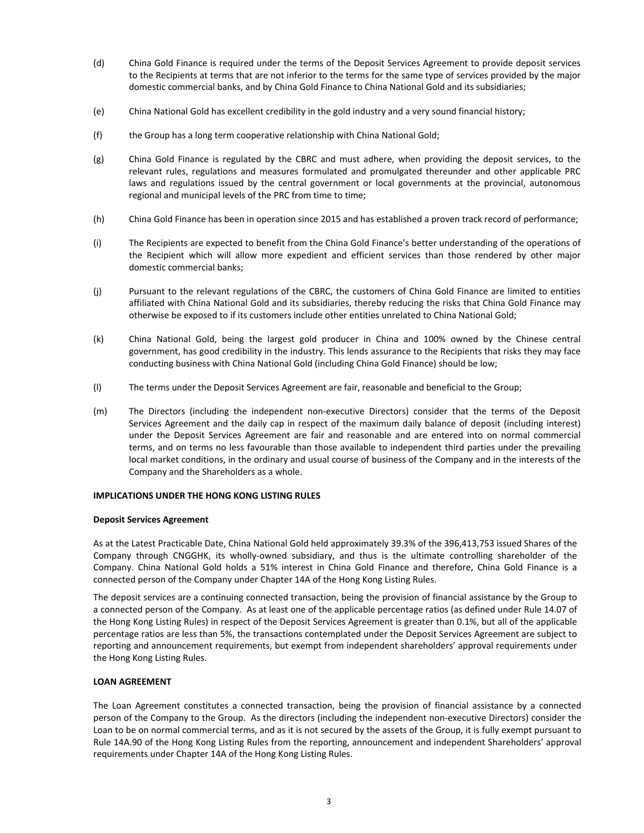- (d) China Gold Finance is required under the terms of the Deposit Services Agreement to provide deposit services to the Recipients at terms that are not inferior to the terms for the same type of services provided by the major domestic commercial banks, and by China Gold Finance to China National Gold and its subsidiaries;
- (e) China National Gold has excellent credibility in the gold industry and a very sound financial history;
- (f) the Group has a long term cooperative relationship with China National Gold;
- (g) China Gold Finance is regulated by the CBRC and must adhere, when providing the deposit services, to the relevant rules, regulations and measures formulated and promulgated thereunder and other applicable PRC laws and regulations issued by the central government or local governments at the provincial, autonomous regional and municipal levels of the PRC from time to time;
- (h) China Gold Finance has been in operation since 2015 and has established a proven track record of performance;
- (i) The Recipients are expected to benefit from the China Gold Finance's better understanding of the operations of the Recipient which will allow more expedient and efficient services than those rendered by other major domestic commercial banks;
- (j) Pursuant to the relevant regulations of the CBRC, the customers of China Gold Finance are limited to entities affiliated with China National Gold and its subsidiaries, thereby reducing the risks that China Gold Finance may otherwise be exposed to if its customers include other entities unrelated to China National Gold;
- (k) China National Gold, being the largest gold producer in China and 100% owned by the Chinese central government, has good credibility in the industry. This lends assurance to the Recipients that risks they may face conducting business with China National Gold (including China Gold Finance) should be low;
- (l) The terms under the Deposit Services Agreement are fair, reasonable and beneficial to the Group;
- (m) The Directors (including the independent non‐executive Directors) consider that the terms of the Deposit Services Agreement and the daily cap in respect of the maximum daily balance of deposit (including interest) under the Deposit Services Agreement are fair and reasonable and are entered into on normal commercial terms, and on terms no less favourable than those available to independent third parties under the prevailing local market conditions, in the ordinary and usual course of business of the Company and in the interests of the Company and the Shareholders as a whole.

#### **IMPLICATIONS UNDER THE HONG KONG LISTING RULES**

#### **Deposit Services Agreement**

As at the Latest Practicable Date, China National Gold held approximately 39.3% of the 396,413,753 issued Shares of the Company through CNGGHK, its wholly‐owned subsidiary, and thus is the ultimate controlling shareholder of the Company. China National Gold holds a 51% interest in China Gold Finance and therefore, China Gold Finance is a connected person of the Company under Chapter 14A of the Hong Kong Listing Rules.

The deposit services are a continuing connected transaction, being the provision of financial assistance by the Group to a connected person of the Company. As at least one of the applicable percentage ratios (as defined under Rule 14.07 of the Hong Kong Listing Rules) in respect of the Deposit Services Agreement is greater than 0.1%, but all of the applicable percentage ratios are less than 5%, the transactions contemplated under the Deposit Services Agreement are subject to reporting and announcement requirements, but exempt from independent shareholders' approval requirements under the Hong Kong Listing Rules.

#### **LOAN AGREEMENT**

The Loan Agreement constitutes a connected transaction, being the provision of financial assistance by a connected person of the Company to the Group. As the directors (including the independent non‐executive Directors) consider the Loan to be on normal commercial terms, and as it is not secured by the assets of the Group, it is fully exempt pursuant to Rule 14A.90 of the Hong Kong Listing Rules from the reporting, announcement and independent Shareholders' approval requirements under Chapter 14A of the Hong Kong Listing Rules.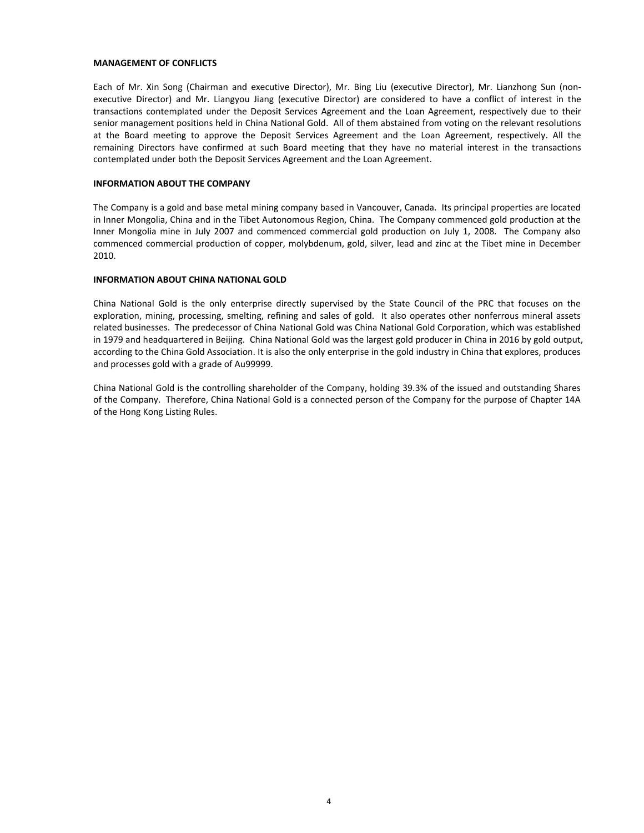#### **MANAGEMENT OF CONFLICTS**

Each of Mr. Xin Song (Chairman and executive Director), Mr. Bing Liu (executive Director), Mr. Lianzhong Sun (non‐ executive Director) and Mr. Liangyou Jiang (executive Director) are considered to have a conflict of interest in the transactions contemplated under the Deposit Services Agreement and the Loan Agreement, respectively due to their senior management positions held in China National Gold. All of them abstained from voting on the relevant resolutions at the Board meeting to approve the Deposit Services Agreement and the Loan Agreement, respectively. All the remaining Directors have confirmed at such Board meeting that they have no material interest in the transactions contemplated under both the Deposit Services Agreement and the Loan Agreement.

#### **INFORMATION ABOUT THE COMPANY**

The Company is a gold and base metal mining company based in Vancouver, Canada. Its principal properties are located in Inner Mongolia, China and in the Tibet Autonomous Region, China. The Company commenced gold production at the Inner Mongolia mine in July 2007 and commenced commercial gold production on July 1, 2008. The Company also commenced commercial production of copper, molybdenum, gold, silver, lead and zinc at the Tibet mine in December 2010.

#### **INFORMATION ABOUT CHINA NATIONAL GOLD**

China National Gold is the only enterprise directly supervised by the State Council of the PRC that focuses on the exploration, mining, processing, smelting, refining and sales of gold. It also operates other nonferrous mineral assets related businesses. The predecessor of China National Gold was China National Gold Corporation, which was established in 1979 and headquartered in Beijing. China National Gold was the largest gold producer in China in 2016 by gold output, according to the China Gold Association. It is also the only enterprise in the gold industry in China that explores, produces and processes gold with a grade of Au99999.

China National Gold is the controlling shareholder of the Company, holding 39.3% of the issued and outstanding Shares of the Company. Therefore, China National Gold is a connected person of the Company for the purpose of Chapter 14A of the Hong Kong Listing Rules.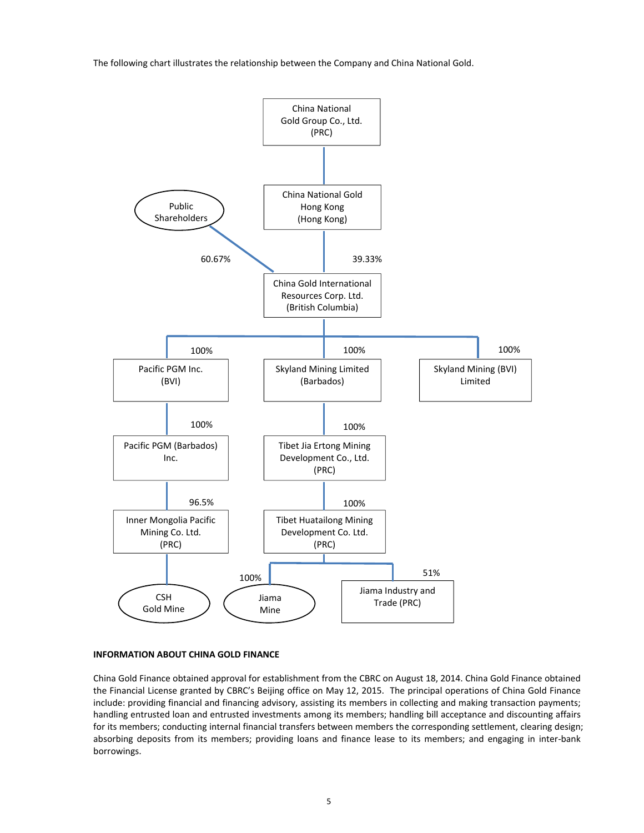The following chart illustrates the relationship between the Company and China National Gold.



#### **INFORMATION ABOUT CHINA GOLD FINANCE**

China Gold Finance obtained approval for establishment from the CBRC on August 18, 2014. China Gold Finance obtained the Financial License granted by CBRC's Beijing office on May 12, 2015. The principal operations of China Gold Finance include: providing financial and financing advisory, assisting its members in collecting and making transaction payments; handling entrusted loan and entrusted investments among its members; handling bill acceptance and discounting affairs for its members; conducting internal financial transfers between members the corresponding settlement, clearing design; absorbing deposits from its members; providing loans and finance lease to its members; and engaging in inter-bank borrowings.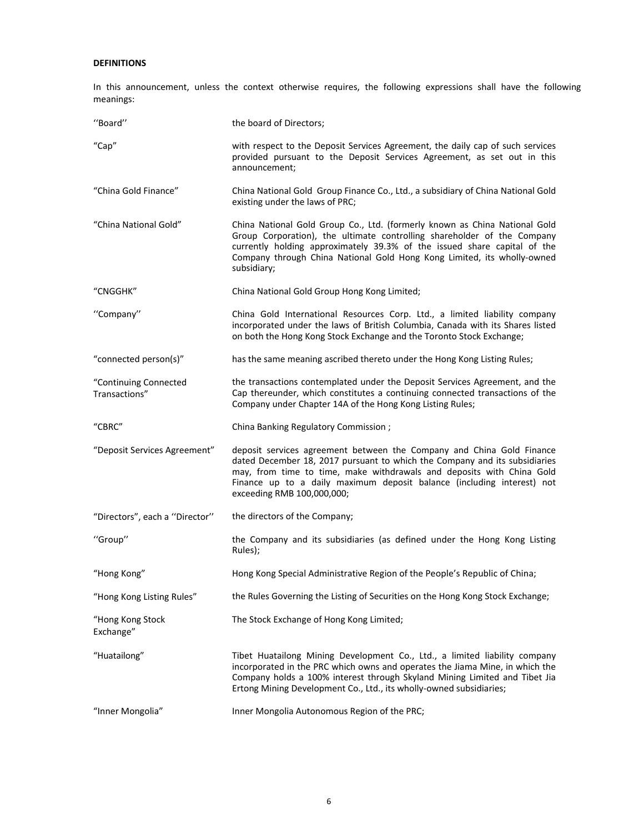# **DEFINITIONS**

In this announcement, unless the context otherwise requires, the following expressions shall have the following meanings:

| "Board"                                | the board of Directors;                                                                                                                                                                                                                                                                                                              |
|----------------------------------------|--------------------------------------------------------------------------------------------------------------------------------------------------------------------------------------------------------------------------------------------------------------------------------------------------------------------------------------|
| "Cap"                                  | with respect to the Deposit Services Agreement, the daily cap of such services<br>provided pursuant to the Deposit Services Agreement, as set out in this<br>announcement;                                                                                                                                                           |
| "China Gold Finance"                   | China National Gold Group Finance Co., Ltd., a subsidiary of China National Gold<br>existing under the laws of PRC;                                                                                                                                                                                                                  |
| "China National Gold"                  | China National Gold Group Co., Ltd. (formerly known as China National Gold<br>Group Corporation), the ultimate controlling shareholder of the Company<br>currently holding approximately 39.3% of the issued share capital of the<br>Company through China National Gold Hong Kong Limited, its wholly-owned<br>subsidiary;          |
| "CNGGHK"                               | China National Gold Group Hong Kong Limited;                                                                                                                                                                                                                                                                                         |
| "Company"                              | China Gold International Resources Corp. Ltd., a limited liability company<br>incorporated under the laws of British Columbia, Canada with its Shares listed<br>on both the Hong Kong Stock Exchange and the Toronto Stock Exchange;                                                                                                 |
| "connected person(s)"                  | has the same meaning ascribed thereto under the Hong Kong Listing Rules;                                                                                                                                                                                                                                                             |
| "Continuing Connected<br>Transactions" | the transactions contemplated under the Deposit Services Agreement, and the<br>Cap thereunder, which constitutes a continuing connected transactions of the<br>Company under Chapter 14A of the Hong Kong Listing Rules;                                                                                                             |
| "CBRC"                                 | China Banking Regulatory Commission;                                                                                                                                                                                                                                                                                                 |
| "Deposit Services Agreement"           | deposit services agreement between the Company and China Gold Finance<br>dated December 18, 2017 pursuant to which the Company and its subsidiaries<br>may, from time to time, make withdrawals and deposits with China Gold<br>Finance up to a daily maximum deposit balance (including interest) not<br>exceeding RMB 100,000,000; |
| "Directors", each a "Director"         | the directors of the Company;                                                                                                                                                                                                                                                                                                        |
| "Group"                                | the Company and its subsidiaries (as defined under the Hong Kong Listing<br>Rules);                                                                                                                                                                                                                                                  |
| "Hong Kong"                            | Hong Kong Special Administrative Region of the People's Republic of China;                                                                                                                                                                                                                                                           |
| "Hong Kong Listing Rules"              | the Rules Governing the Listing of Securities on the Hong Kong Stock Exchange;                                                                                                                                                                                                                                                       |
| "Hong Kong Stock<br>Exchange"          | The Stock Exchange of Hong Kong Limited;                                                                                                                                                                                                                                                                                             |
| "Huatailong"                           | Tibet Huatailong Mining Development Co., Ltd., a limited liability company<br>incorporated in the PRC which owns and operates the Jiama Mine, in which the<br>Company holds a 100% interest through Skyland Mining Limited and Tibet Jia<br>Ertong Mining Development Co., Ltd., its wholly-owned subsidiaries;                      |
| "Inner Mongolia"                       | Inner Mongolia Autonomous Region of the PRC;                                                                                                                                                                                                                                                                                         |